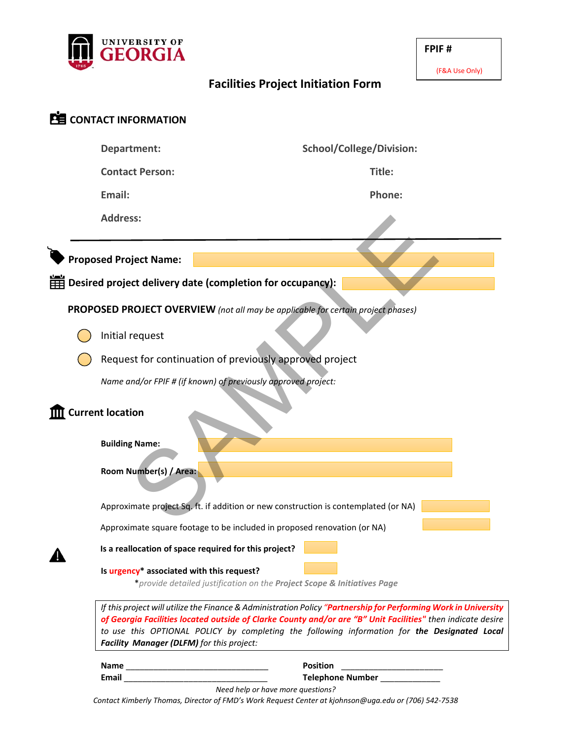

#### (F&A Use Only)

# **Facilities Project Initiation Form**

| <b>PE</b> CONTACT INFORMATION                                                           |                                                                                                                                                                                                                                                                                                                                                                                                                                                                                                     |                                                                                     |  |  |  |  |  |
|-----------------------------------------------------------------------------------------|-----------------------------------------------------------------------------------------------------------------------------------------------------------------------------------------------------------------------------------------------------------------------------------------------------------------------------------------------------------------------------------------------------------------------------------------------------------------------------------------------------|-------------------------------------------------------------------------------------|--|--|--|--|--|
|                                                                                         | Department:                                                                                                                                                                                                                                                                                                                                                                                                                                                                                         | <b>School/College/Division:</b>                                                     |  |  |  |  |  |
|                                                                                         | <b>Contact Person:</b>                                                                                                                                                                                                                                                                                                                                                                                                                                                                              | Title:                                                                              |  |  |  |  |  |
|                                                                                         | Email:                                                                                                                                                                                                                                                                                                                                                                                                                                                                                              | Phone:                                                                              |  |  |  |  |  |
|                                                                                         | <b>Address:</b>                                                                                                                                                                                                                                                                                                                                                                                                                                                                                     |                                                                                     |  |  |  |  |  |
|                                                                                         | <b>Proposed Project Name:</b>                                                                                                                                                                                                                                                                                                                                                                                                                                                                       |                                                                                     |  |  |  |  |  |
| $\overline{\boxplus}$ Desired project delivery date (completion for occupancy):         |                                                                                                                                                                                                                                                                                                                                                                                                                                                                                                     |                                                                                     |  |  |  |  |  |
| <b>PROPOSED PROJECT OVERVIEW</b> (not all may be applicable for certain project phases) |                                                                                                                                                                                                                                                                                                                                                                                                                                                                                                     |                                                                                     |  |  |  |  |  |
|                                                                                         | Initial request                                                                                                                                                                                                                                                                                                                                                                                                                                                                                     |                                                                                     |  |  |  |  |  |
|                                                                                         | Request for continuation of previously approved project                                                                                                                                                                                                                                                                                                                                                                                                                                             |                                                                                     |  |  |  |  |  |
|                                                                                         | Name and/or FPIF # (if known) of previously approved project:                                                                                                                                                                                                                                                                                                                                                                                                                                       |                                                                                     |  |  |  |  |  |
| <b>Current location</b>                                                                 |                                                                                                                                                                                                                                                                                                                                                                                                                                                                                                     |                                                                                     |  |  |  |  |  |
|                                                                                         | <b>Building Name:</b>                                                                                                                                                                                                                                                                                                                                                                                                                                                                               |                                                                                     |  |  |  |  |  |
|                                                                                         | Room Number(s) / Area:                                                                                                                                                                                                                                                                                                                                                                                                                                                                              |                                                                                     |  |  |  |  |  |
|                                                                                         |                                                                                                                                                                                                                                                                                                                                                                                                                                                                                                     | Approximate project Sq. ft. if addition or new construction is contemplated (or NA) |  |  |  |  |  |
|                                                                                         |                                                                                                                                                                                                                                                                                                                                                                                                                                                                                                     | Approximate square footage to be included in proposed renovation (or NA)            |  |  |  |  |  |
|                                                                                         |                                                                                                                                                                                                                                                                                                                                                                                                                                                                                                     | Is a reallocation of space required for this project?                               |  |  |  |  |  |
|                                                                                         | Is urgency* associated with this request?<br>*provide detailed justification on the Project Scope & Initiatives Page<br>If this project will utilize the Finance & Administration Policy "Partnership for Performing Work in University<br>of Georgia Facilities located outside of Clarke County and/or are "B" Unit Facilities" then indicate desire<br>to use this OPTIONAL POLICY by completing the following information for the Designated Local<br>Facility Manager (DLFM) for this project: |                                                                                     |  |  |  |  |  |
|                                                                                         |                                                                                                                                                                                                                                                                                                                                                                                                                                                                                                     |                                                                                     |  |  |  |  |  |
|                                                                                         |                                                                                                                                                                                                                                                                                                                                                                                                                                                                                                     | <b>Position</b>                                                                     |  |  |  |  |  |
|                                                                                         | Telephone Number<br><u>Letter</u><br>Need help or have more questions?<br>Contact Kimberly Thomas, Director of FMD's Work Request Center at kjohnson@uga.edu or (706) 542-7538                                                                                                                                                                                                                                                                                                                      |                                                                                     |  |  |  |  |  |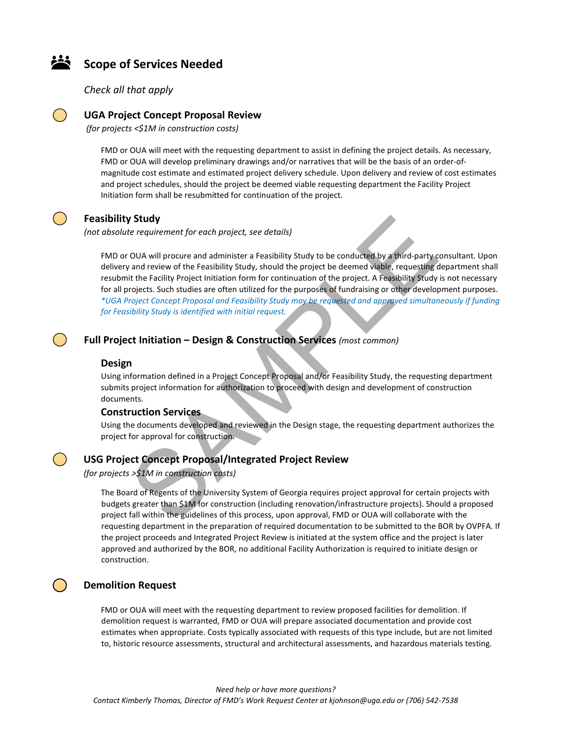## **Scope of Services Needed**

*Check all that apply*



## **UGA Project Concept Proposal Review**

*(for projects <\$1M in construction costs)*

FMD or OUA will meet with the requesting department to assist in defining the project details. As necessary, FMD or OUA will develop preliminary drawings and/or narratives that will be the basis of an order-ofmagnitude cost estimate and estimated project delivery schedule. Upon delivery and review of cost estimates and project schedules, should the project be deemed viable requesting department the Facility Project Initiation form shall be resubmitted for continuation of the project.

## **Feasibility Study**

*(not absolute requirement for each project, see details)*

FMD or OUA will procure and administer a Feasibility Study to be conducted by a third-party consultant. Upon delivery and review of the Feasibility Study, should the project be deemed viable, requesting department shall resubmit the Facility Project Initiation form for continuation of the project. A Feasibility Study is not necessary for all projects. Such studies are often utilized for the purposes of fundraising or other development purposes. *\*UGA Project Concept Proposal and Feasibility Study may be requested and approved simultaneously if funding for Feasibility Study is identified with initial request.* **Study**<br>
Study<br>
Study te requirement for each project, see details)<br>
OUA will procure and administer a Feasiblity Study to be conducted by a third-party c<br>
and review of the Feasiblity Study, should the project be deemed v

#### **Full Project Initiation – Design & Construction Services** *(most common)*

#### **Design**

Using information defined in a Project Concept Proposal and/or Feasibility Study, the requesting department submits project information for authorization to proceed with design and development of construction documents.

#### **Construction Services**

Using the documents developed and reviewed in the Design stage, the requesting department authorizes the project for approval for construction.

#### **USG Project Concept Proposal/Integrated Project Review**

*(for projects >\$1M in construction costs)*

The Board of Regents of the University System of Georgia requires project approval for certain projects with budgets greater than \$1M for construction (including renovation/infrastructure projects). Should a proposed project fall within the guidelines of this process, upon approval, FMD or OUA will collaborate with the requesting department in the preparation of required documentation to be submitted to the BOR by OVPFA. If the project proceeds and Integrated Project Review is initiated at the system office and the project is later approved and authorized by the BOR, no additional Facility Authorization is required to initiate design or construction.

### **Demolition Request**

FMD or OUA will meet with the requesting department to review proposed facilities for demolition. If demolition request is warranted, FMD or OUA will prepare associated documentation and provide cost estimates when appropriate. Costs typically associated with requests of this type include, but are not limited to, historic resource assessments, structural and architectural assessments, and hazardous materials testing.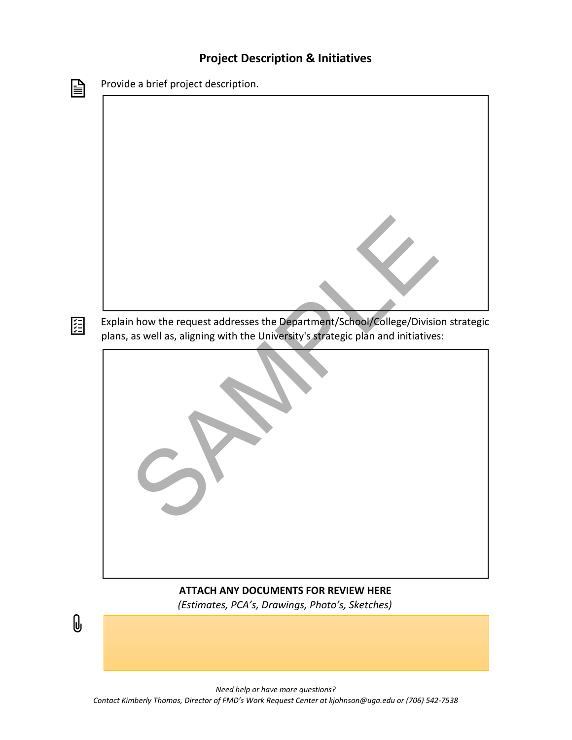## **Project Description & Initiatives**



# **ATTACH ANY DOCUMENTS FOR REVIEW HERE**

*(Estimates, PCA's, Drawings, Photo's, Sketches)*

 $\emptyset$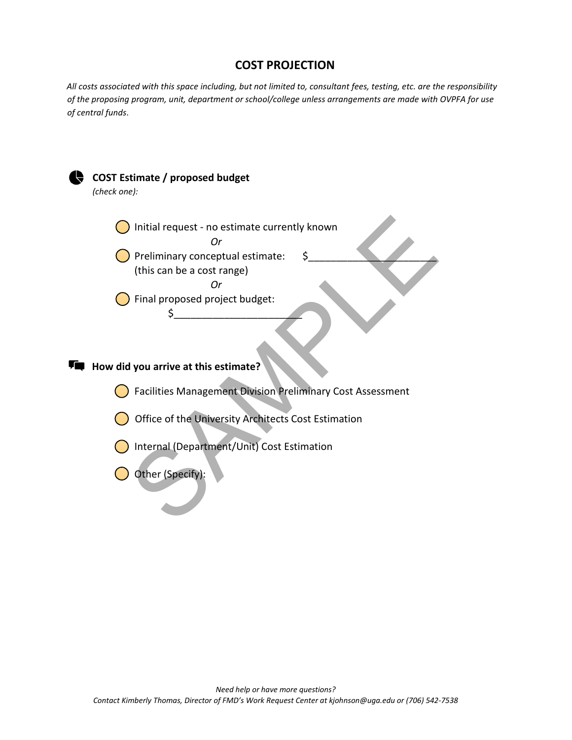## **COST PROJECTION**

*All costs associated with this space including, but not limited to, consultant fees, testing, etc. are the responsibility of the proposing program, unit, department or school/college unless arrangements are made with OVPFA for use of central funds*.

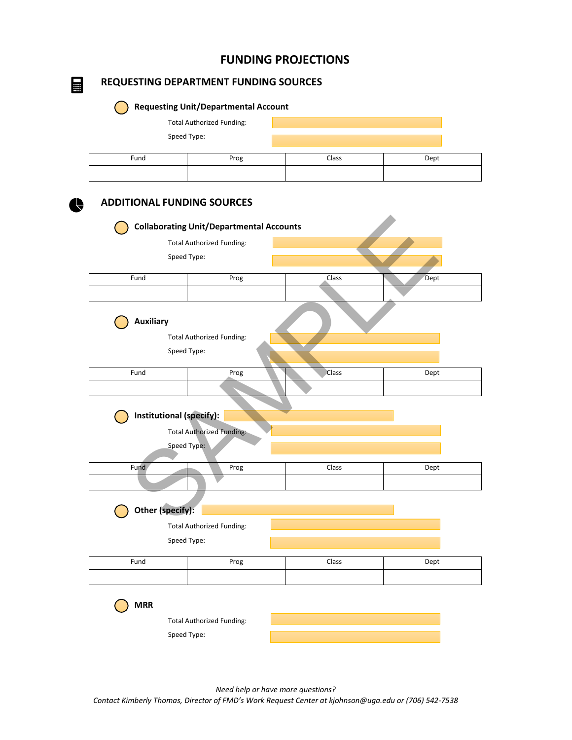## **FUNDING PROJECTIONS**

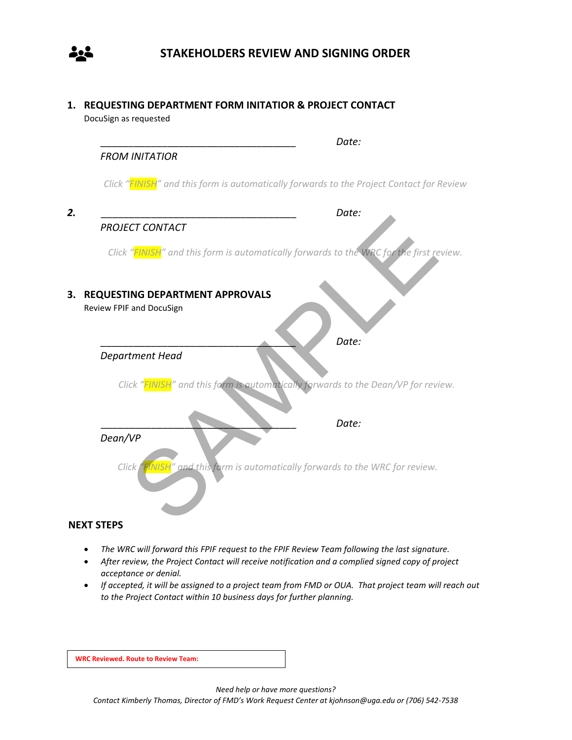

**1. REQUESTING DEPARTMENT FORM INITATIOR & PROJECT CONTACT** DocuSign as requested

|    | Date:                                                                                                  |
|----|--------------------------------------------------------------------------------------------------------|
|    | <b>FROM INITATIOR</b>                                                                                  |
|    | Click "FINISH" and this form is automatically forwards to the Project Contact for Review               |
| 2. | Date:                                                                                                  |
|    | <b>PROJECT CONTACT</b>                                                                                 |
|    | Click "FINISH" and this form is automatically forwards to the WRC for the first review.                |
| 3. | REQUESTING DEPARTMENT APPROVALS                                                                        |
|    | Review FPIF and DocuSign                                                                               |
|    | Date:                                                                                                  |
|    | Department Head                                                                                        |
|    | Click "FINISH" and this form is automotically forwards to the Dean/VP for review.                      |
|    | Date:                                                                                                  |
|    | Dean/VP                                                                                                |
|    | Click $\int_{0}^{1}$ (NISH <sup>"</sup> and this form is automatically forwards to the WRC for review. |
|    |                                                                                                        |

## **NEXT STEPS**

- *The WRC will forward this FPIF request to the FPIF Review Team following the last signature.*
- *After review, the Project Contact will receive notification and a complied signed copy of project acceptance or denial.*
- *If accepted, it will be assigned to a project team from FMD or OUA. That project team will reach out to the Project Contact within 10 business days for further planning.*

**WRC Reviewed. Route to Review Team:**

*Need help or have more questions?*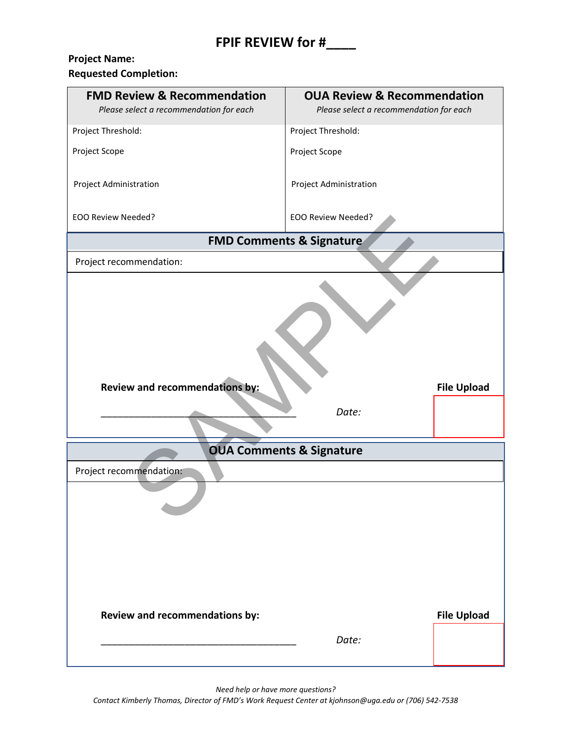# **Project Name:**

**Requested Completion:** 

| <b>FMD Review &amp; Recommendation</b><br>Please select a recommendation for each | <b>OUA Review &amp; Recommendation</b><br>Please select a recommendation for each |                    |  |  |  |
|-----------------------------------------------------------------------------------|-----------------------------------------------------------------------------------|--------------------|--|--|--|
| Project Threshold:                                                                | Project Threshold:                                                                |                    |  |  |  |
| Project Scope                                                                     | Project Scope                                                                     |                    |  |  |  |
| Project Administration                                                            | Project Administration                                                            |                    |  |  |  |
| <b>EOO Review Needed?</b>                                                         | <b>EOO Review Needed?</b>                                                         |                    |  |  |  |
|                                                                                   | <b>FMD Comments &amp; Signature</b>                                               |                    |  |  |  |
| Project recommendation:                                                           |                                                                                   |                    |  |  |  |
| Review and recommendations by:<br><b>File Upload</b><br>Date:                     |                                                                                   |                    |  |  |  |
| <b>OUA Comments &amp; Signature</b>                                               |                                                                                   |                    |  |  |  |
| Project recommendation:                                                           |                                                                                   |                    |  |  |  |
|                                                                                   |                                                                                   |                    |  |  |  |
| Review and recommendations by:                                                    |                                                                                   | <b>File Upload</b> |  |  |  |
|                                                                                   | Date:                                                                             |                    |  |  |  |

*Need help or have more questions?*

*Contact Kimberly Thomas, Director of FMD's Work Request Center at kjohnson@uga.edu or (706) 542-7538*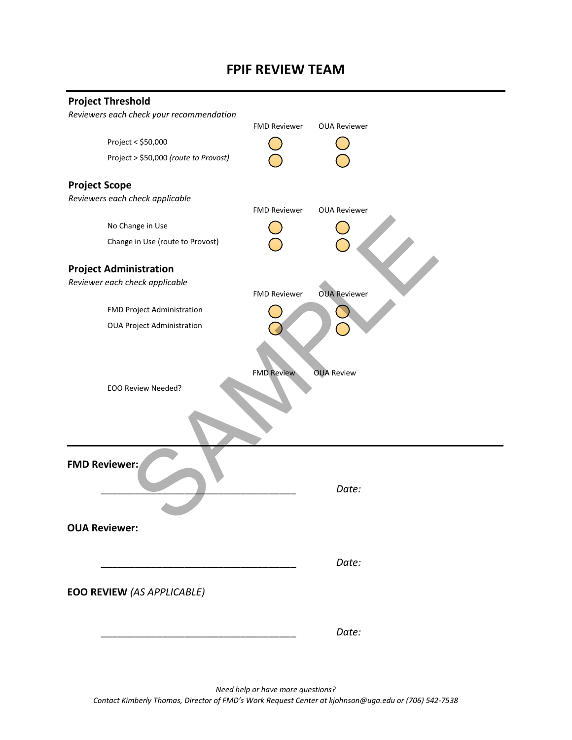## **FPIF REVIEW TEAM**

| <b>Project Threshold</b>                 |                     |                     |  |  |
|------------------------------------------|---------------------|---------------------|--|--|
| Reviewers each check your recommendation |                     |                     |  |  |
|                                          | <b>FMD Reviewer</b> | <b>OUA Reviewer</b> |  |  |
| Project < \$50,000                       |                     |                     |  |  |
| Project > \$50,000 (route to Provost)    |                     |                     |  |  |
| <b>Project Scope</b>                     |                     |                     |  |  |
| Reviewers each check applicable          |                     |                     |  |  |
|                                          | <b>FMD Reviewer</b> | <b>OUA Reviewer</b> |  |  |
| No Change in Use                         |                     |                     |  |  |
| Change in Use (route to Provost)         |                     |                     |  |  |
| <b>Project Administration</b>            |                     |                     |  |  |
| Reviewer each check applicable           | <b>FMD Reviewer</b> | <b>OUA Reviewer</b> |  |  |
| FMD Project Administration               |                     |                     |  |  |
| <b>OUA Project Administration</b>        |                     |                     |  |  |
| EOO Review Needed?                       | <b>FMD Review</b>   | <b>OUA Review</b>   |  |  |
| <b>FMD Reviewer:</b>                     |                     | Date:               |  |  |
| <b>OUA Reviewer:</b>                     |                     |                     |  |  |
|                                          |                     | Date:               |  |  |
| <b>EOO REVIEW (AS APPLICABLE)</b>        |                     |                     |  |  |
|                                          |                     | Date:               |  |  |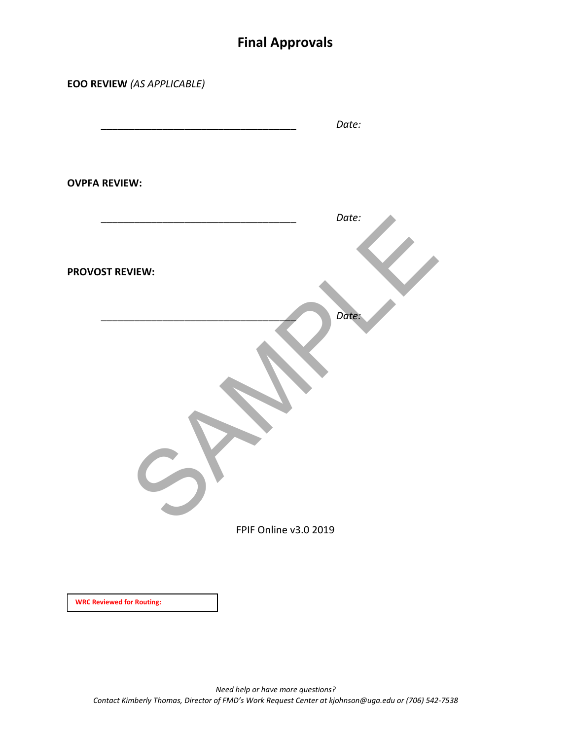# **Final Approvals**

| <b>EOO REVIEW (AS APPLICABLE)</b> |                       |
|-----------------------------------|-----------------------|
|                                   | Date:                 |
| <b>OVPFA REVIEW:</b>              |                       |
|                                   | Date:                 |
| <b>PROVOST REVIEW:</b>            |                       |
|                                   | Date:                 |
|                                   |                       |
|                                   | FPIF Online v3.0 2019 |
| <b>WRC Reviewed for Routing:</b>  |                       |